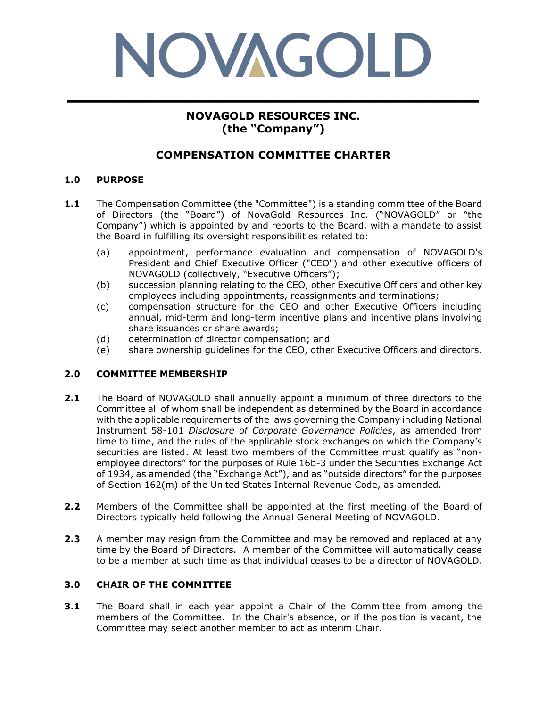# NOVAGOLD **\_\_\_\_\_\_\_\_\_\_\_\_\_\_\_\_\_\_\_\_\_\_\_\_\_\_\_**

# **NOVAGOLD RESOURCES INC. (the "Company")**

# **COMPENSATION COMMITTEE CHARTER**

## **1.0 PURPOSE**

- **1.1** The Compensation Committee (the "Committee") is a standing committee of the Board of Directors (the "Board") of NovaGold Resources Inc. ("NOVAGOLD" or "the Company") which is appointed by and reports to the Board, with a mandate to assist the Board in fulfilling its oversight responsibilities related to:
	- (a) appointment, performance evaluation and compensation of NOVAGOLD's President and Chief Executive Officer ("CEO") and other executive officers of NOVAGOLD (collectively, "Executive Officers");
	- (b) succession planning relating to the CEO, other Executive Officers and other key employees including appointments, reassignments and terminations;
	- (c) compensation structure for the CEO and other Executive Officers including annual, mid-term and long-term incentive plans and incentive plans involving share issuances or share awards;
	- (d) determination of director compensation; and
	- (e) share ownership guidelines for the CEO, other Executive Officers and directors.

#### **2.0 COMMITTEE MEMBERSHIP**

- **2.1** The Board of NOVAGOLD shall annually appoint a minimum of three directors to the Committee all of whom shall be independent as determined by the Board in accordance with the applicable requirements of the laws governing the Company including National Instrument 58-101 *Disclosure of Corporate Governance Policies*, as amended from time to time, and the rules of the applicable stock exchanges on which the Company's securities are listed. At least two members of the Committee must qualify as "nonemployee directors" for the purposes of Rule 16b-3 under the Securities Exchange Act of 1934, as amended (the "Exchange Act"), and as "outside directors" for the purposes of Section 162(m) of the United States Internal Revenue Code, as amended.
- **2.2** Members of the Committee shall be appointed at the first meeting of the Board of Directors typically held following the Annual General Meeting of NOVAGOLD.
- **2.3** A member may resign from the Committee and may be removed and replaced at any time by the Board of Directors. A member of the Committee will automatically cease to be a member at such time as that individual ceases to be a director of NOVAGOLD.

#### **3.0 CHAIR OF THE COMMITTEE**

**3.1** The Board shall in each year appoint a Chair of the Committee from among the members of the Committee. In the Chair's absence, or if the position is vacant, the Committee may select another member to act as interim Chair.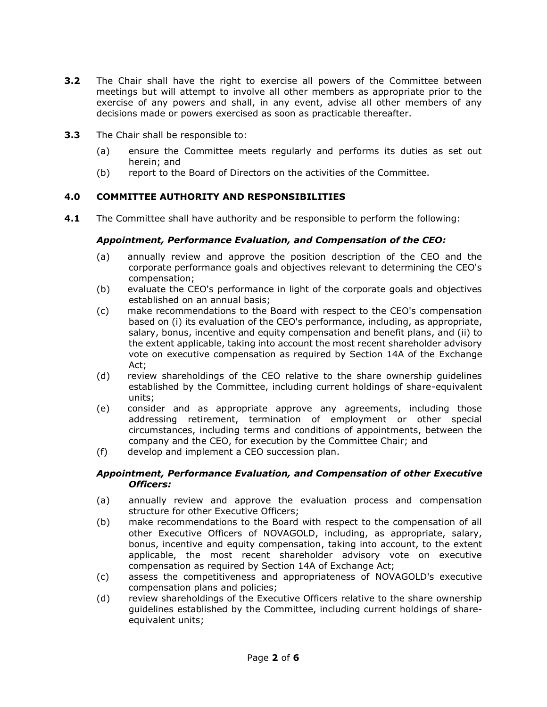- **3.2** The Chair shall have the right to exercise all powers of the Committee between meetings but will attempt to involve all other members as appropriate prior to the exercise of any powers and shall, in any event, advise all other members of any decisions made or powers exercised as soon as practicable thereafter.
- **3.3** The Chair shall be responsible to:
	- (a) ensure the Committee meets regularly and performs its duties as set out herein; and
	- (b) report to the Board of Directors on the activities of the Committee.

#### **4.0 COMMITTEE AUTHORITY AND RESPONSIBILITIES**

**4.1** The Committee shall have authority and be responsible to perform the following:

#### *Appointment, Performance Evaluation, and Compensation of the CEO:*

- (a) annually review and approve the position description of the CEO and the corporate performance goals and objectives relevant to determining the CEO's compensation;
- (b) evaluate the CEO's performance in light of the corporate goals and objectives established on an annual basis;
- (c) make recommendations to the Board with respect to the CEO's compensation based on (i) its evaluation of the CEO's performance, including, as appropriate, salary, bonus, incentive and equity compensation and benefit plans, and (ii) to the extent applicable, taking into account the most recent shareholder advisory vote on executive compensation as required by Section 14A of the Exchange Act;
- (d) review shareholdings of the CEO relative to the share ownership guidelines established by the Committee, including current holdings of share-equivalent units;
- (e) consider and as appropriate approve any agreements, including those addressing retirement, termination of employment or other special circumstances, including terms and conditions of appointments, between the company and the CEO, for execution by the Committee Chair; and
- (f) develop and implement a CEO succession plan.

#### *Appointment, Performance Evaluation, and Compensation of other Executive Officers:*

- (a) annually review and approve the evaluation process and compensation structure for other Executive Officers;
- (b) make recommendations to the Board with respect to the compensation of all other Executive Officers of NOVAGOLD, including, as appropriate, salary, bonus, incentive and equity compensation, taking into account, to the extent applicable, the most recent shareholder advisory vote on executive compensation as required by Section 14A of Exchange Act;
- (c) assess the competitiveness and appropriateness of NOVAGOLD's executive compensation plans and policies;
- (d) review shareholdings of the Executive Officers relative to the share ownership guidelines established by the Committee, including current holdings of shareequivalent units;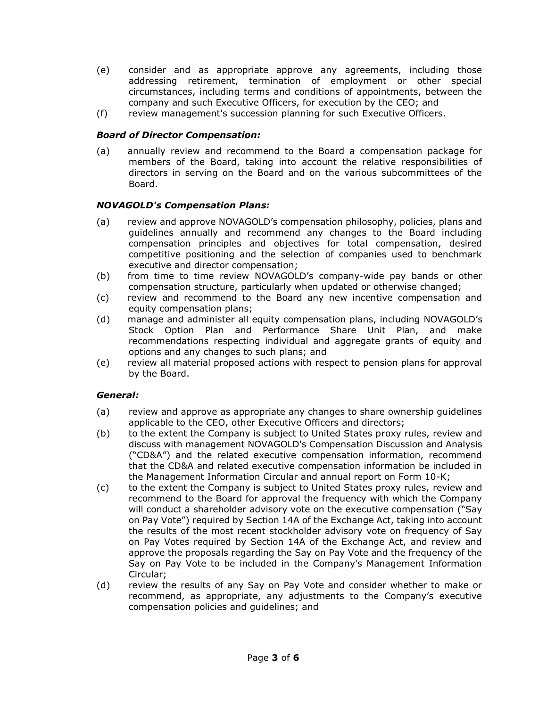- (e) consider and as appropriate approve any agreements, including those addressing retirement, termination of employment or other special circumstances, including terms and conditions of appointments, between the company and such Executive Officers, for execution by the CEO; and
- (f) review management's succession planning for such Executive Officers.

#### *Board of Director Compensation:*

(a) annually review and recommend to the Board a compensation package for members of the Board, taking into account the relative responsibilities of directors in serving on the Board and on the various subcommittees of the Board.

#### *NOVAGOLD's Compensation Plans:*

- (a) review and approve NOVAGOLD's compensation philosophy, policies, plans and guidelines annually and recommend any changes to the Board including compensation principles and objectives for total compensation, desired competitive positioning and the selection of companies used to benchmark executive and director compensation;
- (b) from time to time review NOVAGOLD's company-wide pay bands or other compensation structure, particularly when updated or otherwise changed;
- (c) review and recommend to the Board any new incentive compensation and equity compensation plans;
- (d) manage and administer all equity compensation plans, including NOVAGOLD's Stock Option Plan and Performance Share Unit Plan, and make recommendations respecting individual and aggregate grants of equity and options and any changes to such plans; and
- (e) review all material proposed actions with respect to pension plans for approval by the Board.

#### *General:*

- (a) review and approve as appropriate any changes to share ownership guidelines applicable to the CEO, other Executive Officers and directors;
- (b) to the extent the Company is subject to United States proxy rules, review and discuss with management NOVAGOLD's Compensation Discussion and Analysis ("CD&A") and the related executive compensation information, recommend that the CD&A and related executive compensation information be included in the Management Information Circular and annual report on Form 10-K;
- (c) to the extent the Company is subject to United States proxy rules, review and recommend to the Board for approval the frequency with which the Company will conduct a shareholder advisory vote on the executive compensation ("Say on Pay Vote") required by Section 14A of the Exchange Act, taking into account the results of the most recent stockholder advisory vote on frequency of Say on Pay Votes required by Section 14A of the Exchange Act, and review and approve the proposals regarding the Say on Pay Vote and the frequency of the Say on Pay Vote to be included in the Company's Management Information Circular;
- (d) review the results of any Say on Pay Vote and consider whether to make or recommend, as appropriate, any adjustments to the Company's executive compensation policies and guidelines; and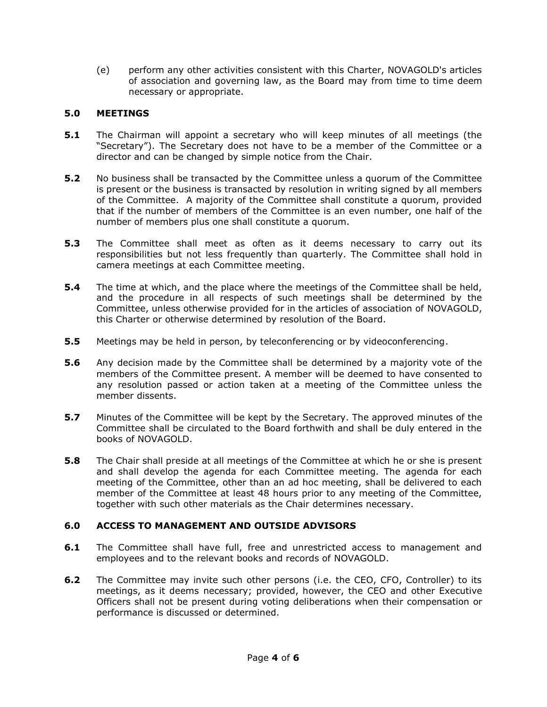(e) perform any other activities consistent with this Charter, NOVAGOLD's articles of association and governing law, as the Board may from time to time deem necessary or appropriate.

## **5.0 MEETINGS**

- **5.1** The Chairman will appoint a secretary who will keep minutes of all meetings (the "Secretary"). The Secretary does not have to be a member of the Committee or a director and can be changed by simple notice from the Chair.
- **5.2** No business shall be transacted by the Committee unless a quorum of the Committee is present or the business is transacted by resolution in writing signed by all members of the Committee. A majority of the Committee shall constitute a quorum, provided that if the number of members of the Committee is an even number, one half of the number of members plus one shall constitute a quorum.
- **5.3** The Committee shall meet as often as it deems necessary to carry out its responsibilities but not less frequently than quarterly. The Committee shall hold in camera meetings at each Committee meeting.
- **5.4** The time at which, and the place where the meetings of the Committee shall be held, and the procedure in all respects of such meetings shall be determined by the Committee, unless otherwise provided for in the articles of association of NOVAGOLD, this Charter or otherwise determined by resolution of the Board.
- **5.5** Meetings may be held in person, by teleconferencing or by videoconferencing.
- **5.6** Any decision made by the Committee shall be determined by a majority vote of the members of the Committee present. A member will be deemed to have consented to any resolution passed or action taken at a meeting of the Committee unless the member dissents.
- **5.7** Minutes of the Committee will be kept by the Secretary. The approved minutes of the Committee shall be circulated to the Board forthwith and shall be duly entered in the books of NOVAGOLD.
- **5.8** The Chair shall preside at all meetings of the Committee at which he or she is present and shall develop the agenda for each Committee meeting. The agenda for each meeting of the Committee, other than an ad hoc meeting, shall be delivered to each member of the Committee at least 48 hours prior to any meeting of the Committee, together with such other materials as the Chair determines necessary.

# **6.0 ACCESS TO MANAGEMENT AND OUTSIDE ADVISORS**

- **6.1** The Committee shall have full, free and unrestricted access to management and employees and to the relevant books and records of NOVAGOLD.
- **6.2** The Committee may invite such other persons (i.e. the CEO, CFO, Controller) to its meetings, as it deems necessary; provided, however, the CEO and other Executive Officers shall not be present during voting deliberations when their compensation or performance is discussed or determined.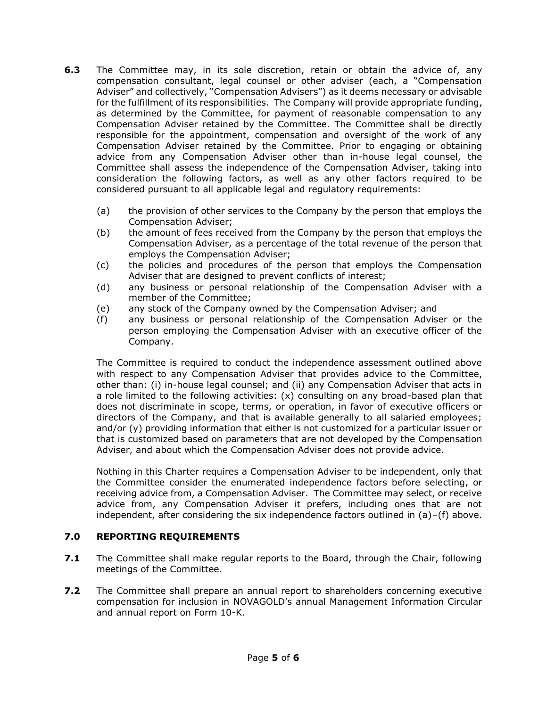- **6.3** The Committee may, in its sole discretion, retain or obtain the advice of, any compensation consultant, legal counsel or other adviser (each, a "Compensation Adviser" and collectively, "Compensation Advisers") as it deems necessary or advisable for the fulfillment of its responsibilities. The Company will provide appropriate funding, as determined by the Committee, for payment of reasonable compensation to any Compensation Adviser retained by the Committee. The Committee shall be directly responsible for the appointment, compensation and oversight of the work of any Compensation Adviser retained by the Committee. Prior to engaging or obtaining advice from any Compensation Adviser other than in-house legal counsel, the Committee shall assess the independence of the Compensation Adviser, taking into consideration the following factors, as well as any other factors required to be considered pursuant to all applicable legal and regulatory requirements:
	- (a) the provision of other services to the Company by the person that employs the Compensation Adviser;
	- (b) the amount of fees received from the Company by the person that employs the Compensation Adviser, as a percentage of the total revenue of the person that employs the Compensation Adviser;
	- (c) the policies and procedures of the person that employs the Compensation Adviser that are designed to prevent conflicts of interest;
	- (d) any business or personal relationship of the Compensation Adviser with a member of the Committee;
	- (e) any stock of the Company owned by the Compensation Adviser; and
	- (f) any business or personal relationship of the Compensation Adviser or the person employing the Compensation Adviser with an executive officer of the Company.

The Committee is required to conduct the independence assessment outlined above with respect to any Compensation Adviser that provides advice to the Committee, other than: (i) in-house legal counsel; and (ii) any Compensation Adviser that acts in a role limited to the following activities: (x) consulting on any broad-based plan that does not discriminate in scope, terms, or operation, in favor of executive officers or directors of the Company, and that is available generally to all salaried employees; and/or (y) providing information that either is not customized for a particular issuer or that is customized based on parameters that are not developed by the Compensation Adviser, and about which the Compensation Adviser does not provide advice.

Nothing in this Charter requires a Compensation Adviser to be independent, only that the Committee consider the enumerated independence factors before selecting, or receiving advice from, a Compensation Adviser. The Committee may select, or receive advice from, any Compensation Adviser it prefers, including ones that are not independent, after considering the six independence factors outlined in (a)–(f) above.

#### **7.0 REPORTING REQUIREMENTS**

- **7.1** The Committee shall make regular reports to the Board, through the Chair, following meetings of the Committee.
- **7.2** The Committee shall prepare an annual report to shareholders concerning executive compensation for inclusion in NOVAGOLD's annual Management Information Circular and annual report on Form 10-K.